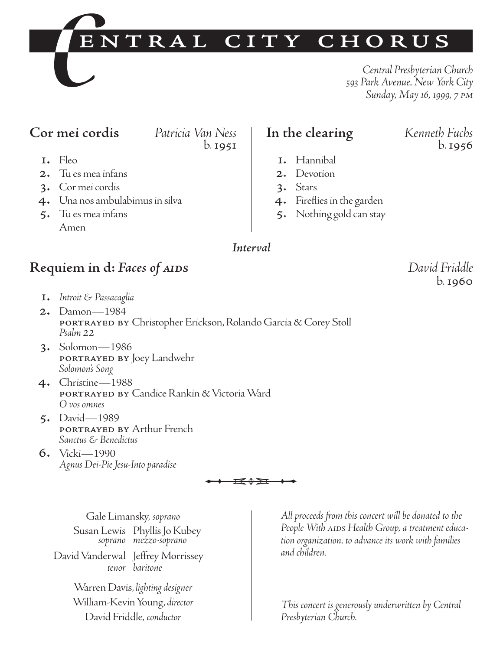# ENTRAL CITY CHORUS

*Central Presbyterian Church 593 Park Avenue, New York City Sunday, May 16, 1999, 7 pm*

## **Cor mei cordis** *Patricia Van Ness*

b.1951

- 1. Fleo
- 2. Tu es mea infans
- 3. Cor mei cordis
- 4. Una nos ambulabimus in silva
- 5. Tu es mea infans Amen

## **In the clearing** *Kenneth Fuchs*

- 1. Hannibal
- 2. Devotion
- 3. Stars
- 4. Fireflies in the garden
- 5. Nothing gold can stay

## *Interval*

## **Requiem in d:** *Faces of aids David Friddle*

- 1. *Introit & Passacaglia*
- 2. Damon—1984 portrayed by Christopher Erickson, Rolando Garcia & Corey Stoll *Psalm <sup>22</sup>*
- 3. Solomon—1986 portrayed by Joey Landwehr *Solomon's Song*
- 4. Christine—1988 portrayed by Candice Rankin & Victoria Ward *O vos omnes*
- 5. David—1989 portrayed by Arthur French *Sanctus & Benedictus*
- 6. Vicki—1990 *Agnus Dei-Pie Jesu-Into paradise*

$$
\begin{array}{c}\n \leftarrow & \text{if } \mathbf{0} \neq \mathbf{0} \\
 \leftarrow & \text{if } \mathbf{0} \neq \mathbf{0} \\
 & & \text{if } \mathbf{0} \neq \mathbf{0}\n \end{array}
$$

Gale Limansky, *soprano* Susan Lewis Phyllis Jo Kubey *soprano mezzo-soprano*

David Vanderwal Jeffrey Morrissey *tenor baritone*

> Warren Davis, *lighting designer* William-Kevin Young, *director* David Friddle, *conductor*

*All proceeds from this concert will be donated to the* People With AIDs Health Group, a treatment educa*tion organization, to advance its work with families and children.* 

*This concert is generously underwritten by Central Presbyterian Church.*

b.1960

b.1956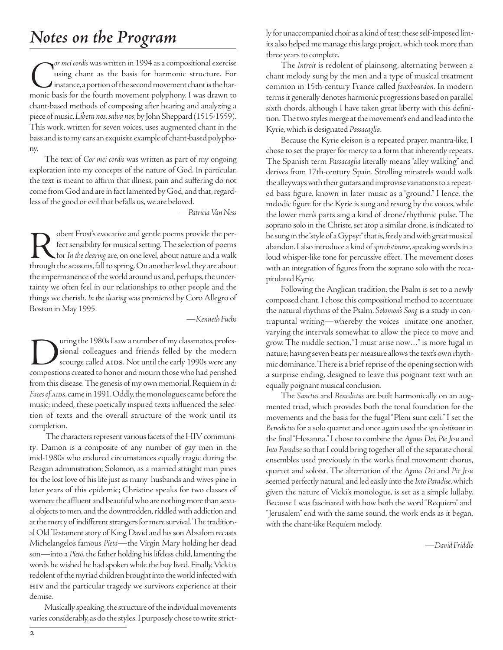# *Notes on the Program*

**C**<sup>or</sup> *mei cordis* was written in 1994 as a compositional exercise using chant as the basis for harmonic structure. For instance, a portion of the second movement chant is the harmonic basis for the fourth movement polyp using chant as the basis for harmonic structure. For  $\boldsymbol{J}$  instance, a portion of the second movement chant is the harchant-based methods of composing after hearing and analyzing a piece of music, *Libera nos, salva nos*, by John Sheppard (1515-1559). This work, written for seven voices, uses augmented chant in the bass and is to my ears an exquisite example of chant-based polyphony.

The text of *Cor mei cordis* was written as part of my ongoing exploration into my concepts of the nature of God. In particular, the text is meant to affirm that illness, pain and suffering do not come from God and are in fact lamented by God, and that, regardless of the good or evil that befalls us, we are beloved.

*—Patricia Van Ness*

Robert Frost's evocative and gentle poems provide the per-<br>fect sensibility for musical setting. The selection of poems<br>through the seasons, fall to spring. On another level, they are about fect sensibility for musical setting. The selection of poems for *In the clearing*are, on one level, about nature and a walk through the seasons, fall to spring. On another level, they are about the impermanence of the world around us and, perhaps, the uncertainty we often feel in our relationships to other people and the things we cherish. *In the clearing* was premiered by Coro Allegro of Boston in May 1995.

*—Kenneth Fuchs*

Unity of the 1980s I saw a number of my classmates, profes-<br>sional colleagues and friends felled by the modern<br>scourge called AIDS. Not until the early 1990s were any<br>compostions created to honor and mourn those who had pe sional colleagues and friends felled by the modern scourge called AIDS. Not until the early 1990s were any from this disease. The genesis of my own memorial, Requiem in d: *Faces of aids*, came in 1991. Oddly, the monologues came before the music; indeed, these poetically inspired texts influenced the selection of texts and the overall structure of the work until its completion.

The characters represent various facets of the HIV community: Damon is a composite of any number of gay men in the mid-1980s who endured circumstances equally tragic during the Reagan administration; Solomon, as a married straight man pines for the lost love of his life just as many husbands and wives pine in later years of this epidemic; Christine speaks for two classes of women: the affluent and beautiful who are nothing more than sexual objects to men, and the downtrodden, riddled with addiction and at the mercy of indifferent strangers for mere survival. The traditional Old Testament story of King David and his son Absalom recasts Michelangelo's famous *Pietá*—the Virgin Mary holding her dead son—into a *Pietó*, the father holding his lifeless child, lamenting the words he wished he had spoken while the boy lived. Finally, Vicki is redolent of the myriad children brought into the world infected with hiv and the particular tragedy we survivors experience at their demise.

Musically speaking, the structure of the individual movements varies considerably, as do the styles. I purposely chose to write strictly for unaccompanied choir as a kind of test; these self-imposed limits also helped me manage this large project, which took more than three years to complete.

The *Introit* is redolent of plainsong, alternating between a chant melody sung by the men and a type of musical treatment common in 15th-century France called *fauxbourdon*. In modern terms it generally denotes harmonic progressions based on parallel sixth chords, although I have taken great liberty with this definition. The two styles merge at the movement's end and lead into the Kyrie, which is designated *Passacaglia*.

Because the Kyrie eleison is a repeated prayer, mantra-like, I chose to set the prayer for mercy to a form that inherently repeats. The Spanish term *Passacaglia* literally means "alley walking" and derives from 17th-century Spain. Strolling minstrels would walk the alleyways with their guitars and improvise variations to a repeated bass figure, known in later music as a "ground." Hence, the melodic figure for the Kyrie is sung and resung by the voices, while the lower men's parts sing a kind of drone/rhythmic pulse. The soprano solo in the Christe, set atop a similar drone, is indicated to be sung in the "style of a Gypsy;" that is, freely and with great musical abandon. I also introduce a kind of *sprechstimme*, speaking words in a loud whisper-like tone for percussive effect. The movement closes with an integration of figures from the soprano solo with the recapitulated Kyrie.

Following the Anglican tradition, the Psalm is set to a newly composed chant. I chose this compositional method to accentuate the natural rhythms of the Psalm. *Solomon's Song* is a study in contrapuntal writing—whereby the voices imitate one another, varying the intervals somewhat to allow the piece to move and grow. The middle section, "I must arise now…" is more fugal in nature; having seven beats per measure allows the text's own rhythmic dominance. There is a brief reprise of the opening section with a surprise ending, designed to leave this poignant text with an equally poignant musical conclusion.

The *Sanctus* and *Benedictus* are built harmonically on an augmented triad, which provides both the tonal foundation for the movements and the basis for the fugal "Pleni sunt cæli." I set the *Benedictus* for a solo quartet and once again used the *sprechstimme* in the final "Hosanna." I chose to combine the *Agnus Dei, Pie Jesu* and *Into Paradise* so that I could bring together all of the separate choral ensembles used previously in the work's final movement: chorus, quartet and soloist. The alternation of the *Agnus Dei* and *Pie Jesu* seemed perfectly natural, and led easily into the *Into Paradise*, which given the nature of Vicki's monologue, is set as a simple lullaby. Because I was fascinated with how both the word "Requiem" and "Jerusalem" end with the same sound, the work ends as it began, with the chant-like Requiem melody.

*—David Friddle*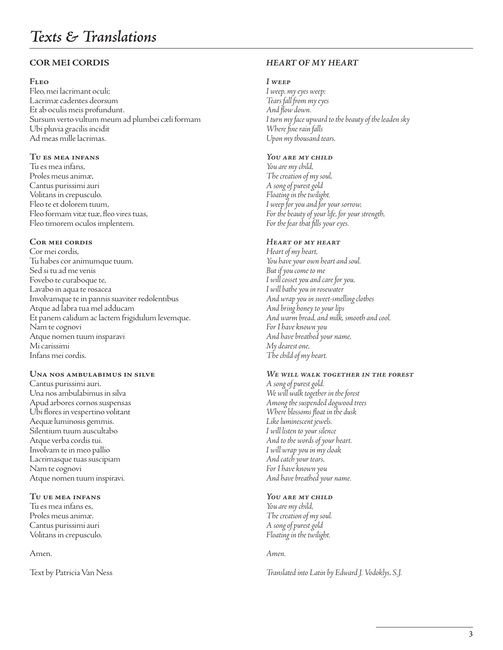#### **COR MEI CORDIS**

#### **Fleo**

Fleo, mei lacrimant oculi; Lacrimæ cadentes deorsum Et ab oculis meis profundunt. Sursum verto vultum meum ad plumbei cæli formam Ubi pluvia gracilis incidit Ad meas mille lacrimas.

#### **Tu es mea infans**

Tu es mea infans, Proles meus animæ, Cantus purissimi auri Volitans in crepusculo. Fleo te et dolorem tuum, Fleo formam vitæ tuæ, fleo vires tuas, Fleo timorem oculos implentem.

#### **Cor mei cordis**

Cor mei cordis, Tu habes cor animumque tuum. Sed si tu ad me venis Fovebo te curaboque te, Lavabo in aqua te rosacea Involvamque te in pannis suaviter redolentibus Atque ad labra tua mel adducam Et panem calidum ac lactem frigidulum levemque. Nam te cognovi Atque nomen tuum insparavi Mi carissimi Infans mei cordis.

#### **Una nos ambulabimus in silve**

Cantus purissimi auri. Una nos ambulabimus in silva Apud arbores cornos suspensas Ubi flores in vespertino volitant Aequæ luminosis gemmis. Silentium tuum auscultabo Atque verba cordis tui. Involvam te in meo pallio Lacrimasque tuas suscipiam Nam te cognovi Atque nomen tuum inspiravi.

#### **Tu ue mea infans**

Tu es mea infans es, Proles meus animæ. Cantus purissimi auri Volitans in crepusculo.

#### Amen.

Text by Patricia Van Ness

#### *HEART OF MY HEART*

#### *I weep*

*I weep, my eyes weep; Tears fall from my eyes And flow down. I turn my face upward to the beauty of the leaden sky Where fine rain falls Upon my thousand tears.*

#### *You are my child*

*You are my child, The creation of my soul, A song of purest gold Floating in the twilight. I weep for you and for your sorrow, For the beauty of your life, for your strength, For the fear that fills your eyes.*

#### *Heart of my heart*

*Heart of my heart, You have your own heart and soul. But if you come to me I will cosset you and care for you, I will bathe you in rosewater And wrap you in sweet-smelling clothes And bring honey to your lips And warm bread, and milk, smooth and cool. For I have known you And have breathed your name, My dearest one, The child of my heart.*

#### *We will walk together in the forest*

*A song of purest gold. We will walk together in the forest Among the suspended dogwood trees Where blossoms float in the dusk Like luminescent jewels. I will listen to your silence And to the words of your heart. I will wrap you in my cloak And catch your tears, For I have known you And have breathed your name.*

#### *You are my child*

*You are my child, The creation of my soul. A song of purest gold Floating in the twilight.*

#### *Amen.*

*Translated into Latin by Edward J. Vodoklys, S.J.*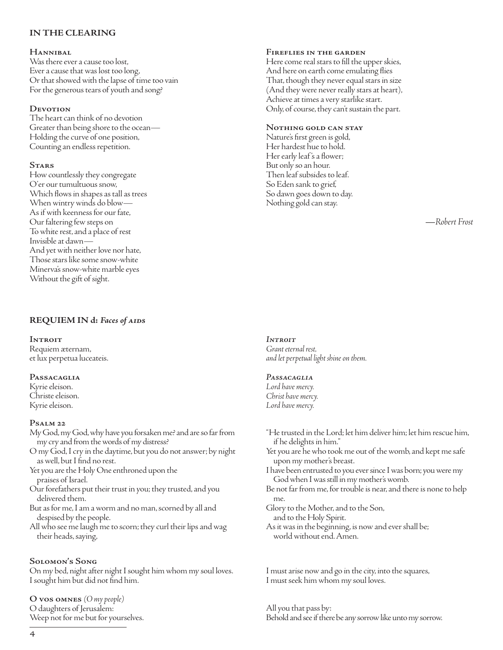#### **IN THE CLEARING**

#### **Hannibal**

Was there ever a cause too lost, Ever a cause that was lost too long, Or that showed with the lapse of time too vain For the generous tears of youth and song?

#### **Devotion**

The heart can think of no devotion Greater than being shore to the ocean— Holding the curve of one position, Counting an endless repetition.

#### **Stars**

How countlessly they congregate O'er our tumultuous snow, Which flows in shapes as tall as trees When wintry winds do blow— As if with keenness for our fate, Our faltering few steps on To white rest, and a place of rest Invisible at dawn— And yet with neither love nor hate, Those stars like some snow-white Minerva's snow-white marble eyes Without the gift of sight.

#### **REQUIEM IN d:** *Faces of aids*

#### **Introit** Requiem æternam, et lux perpetua luceateis.

#### **Passacaglia**

Kyrie eleison. Christe eleison. Kyrie eleison.

#### **Psalm 22**

- My God, my God, why have you forsaken me? and are so far from my cry and from the words of my distress?
- O my God, I cry in the daytime, but you do not answer; by night as well, but I find no rest.
- Yet you are the Holy One enthroned upon the praises of Israel.
- Our forefathers put their trust in you; they trusted, and you delivered them.
- But as for me, I am a worm and no man, scorned by all and despised by the people.
- All who see me laugh me to scorn; they curl their lips and wag their heads, saying,

#### **Solomon's Song**

On my bed, night after night I sought him whom my soul loves. I sought him but did not find him.

**O vos omnes** *(O my people)* O daughters of Jerusalem: Weep not for me but for yourselves.

#### **Fireflies in the garden**

Here come real stars to fill the upper skies, And here on earth come emulating flies That, though they never equal stars in size (And they were never really stars at heart), Achieve at times a very starlike start. Only, of course, they can't sustain the part.

#### **Nothing gold can stay**

Nature's first green is gold, Her hardest hue to hold. Her early leaf 's a flower; But only so an hour. Then leaf subsides to leaf. So Eden sank to grief, So dawn goes down to day. Nothing gold can stay.

*—Robert Frost*

#### *Introit*

*Grant eternal rest, and let perpetual light shine on them.*

#### *Passacaglia*

*Lord have mercy. Christ have mercy. Lord have mercy.*

- "He trusted in the Lord; let him deliver him; let him rescue him, if he delights in him."
- Yet you are he who took me out of the womb, and kept me safe upon my mother's breast.
- I have been entrusted to you ever since I was born; you were my God when I was still in my mother's womb.
- Be not far from me, for trouble is near, and there is none to help me.
- Glory to the Mother, and to the Son, and to the Holy Spirit.
- As it was in the beginning, is now and ever shall be; world without end. Amen.

I must arise now and go in the city, into the squares, I must seek him whom my soul loves.

All you that pass by: Behold and see if there be any sorrow like unto my sorrow.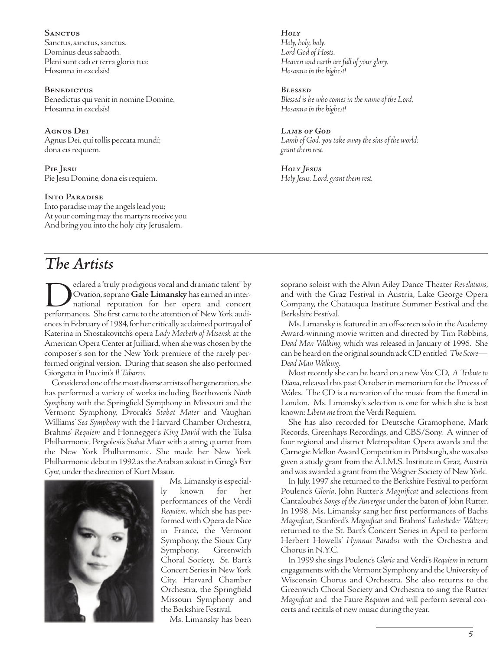**Sanctus** Sanctus, sanctus, sanctus. Dominus deus sabaoth. Pleni sunt cæli et terra gloria tua: Hosanna in excelsis!

#### **BENEDICTUS** Benedictus qui venit in nomine Domine. Hosanna in excelsis!

**Agnus Dei** Agnus Dei, qui tollis peccata mundi; dona eis requiem.

**Pie Jesu** Pie Jesu Domine, dona eis requiem.

#### **Into Paradise**

Into paradise may the angels lead you; At your coming may the martyrs receive you And bring you into the holy city Jerusalem.

## *The Artists*

eclared a "truly prodigious vocal and dramatic talent" by Ovation, soprano **Gale Limansky** has earned an international reputation for her opera and concert performances. She first came to the attention of New York audiences in February of 1984, for her critically acclaimed portrayal of Katerina in Shostakovitch's opera *Lady Macbeth of Mtsensk* at the American Opera Center at Juilliard, when she was chosen by the composer's son for the New York premiere of the rarely performed original version. During that season she also performed Giorgetta in Puccini's *Il Tabarro*.

Considered one of the most diverse artists of her generation, she has performed a variety of works including Beethoven's *Ninth Symphony* with the Springfield Symphony in Missouri and the Vermont Symphony, Dvorak's *Stabat Mater* and Vaughan Williams' *Sea Symphony* with the Harvard Chamber Orchestra, Brahms' *Requiem* and Honnegger's *King David* with the Tulsa Philharmonic, Pergolesi's *Stabat Mater* with a string quartet from the New York Philharmonic. She made her New York Philharmonic debut in 1992 as the Arabian soloist in Grieg's *Peer Gynt*, under the direction of Kurt Masur.



Ms. Limansky is especially known for her performances of the Verdi *Requiem,* which she has performed with Opera de Nice in France, the Vermont Symphony, the Sioux City<br>Symphony, Greenwich Symphony, Choral Society, St. Bart's Concert Series in New York City, Harvard Chamber Orchestra, the Springfield Missouri Symphony and the Berkshire Festival.

Ms. Limansky has been

*Holy Holy, holy, holy. Lord God of Hosts. Heaven and earth are full of your glory. Hosanna in the highest!*

*Blessed Blessed is he who comes in the name of the Lord. Hosanna in the highest!*

*Lamb of God Lamb of God, you take away the sins of the world; grant them rest.*

*Holy Jesus Holy Jesus, Lord, grant them rest.*

soprano soloist with the Alvin Ailey Dance Theater *Revelations*, and with the Graz Festival in Austria, Lake George Opera Company, the Chatauqua Institute Summer Festival and the Berkshire Festival.

Ms. Limansky is featured in an off-screen solo in the Academy Award-winning movie written and directed by Tim Robbins, *Dead Man Walking*, which was released in January of 1996. She can be heard on the original soundtrack CD entitled *The Score— Dead Man Walking*.

Most recently she can be heard on a new Vox CD, *A Tribute to Diana*, released this past October in memorium for the Pricess of Wales. The CD is a recreation of the music from the funeral in London. Ms. Limansky's selection is one for which she is best known: *Libera me* from the Verdi Requiem.

She has also recorded for Deutsche Gramophone, Mark Records, Greenhays Recordings, and CBS/Sony. A winner of four regional and district Metropolitan Opera awards and the Carnegie Mellon Award Competition in Pittsburgh, she was also given a study grant from the A.I.M.S. Institute in Graz, Austria and was awarded a grant from the Wagner Society of New York.

In July, 1997 she returned to the Berkshire Festival to perform Poulenc's *Gloria*, John Rutter's *Magnificat* and selections from Cantaloube's *Songs of the Auvergne* under the baton of John Rutter. In 1998, Ms. Limansky sang her first performances of Bach's *Magnificat*, Stanford's *Magnificat* and Brahms' *Liebeslieder Waltzer*; returned to the St. Bart's Concert Series in April to perform Herbert Howells' *Hymnus Paradisi* with the Orchestra and Chorus in N.Y.C.

In 1999 she sings Poulenc's *Gloria*and Verdi's *Requiem* in return engagements with the Vermont Symphony and the University of Wisconsin Chorus and Orchestra. She also returns to the Greenwich Choral Society and Orchestra to sing the Rutter *Magnificat* and the Faure *Requiem* and will perform several concerts and recitals of new music during the year.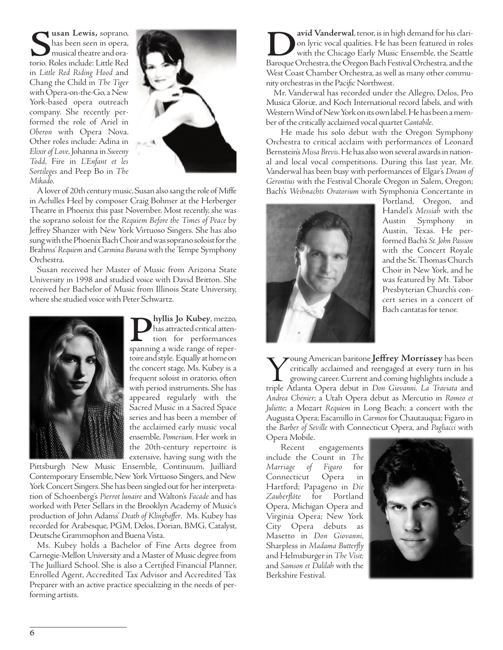Susan Lewis, soprano, has been seen in opera, musical theatre and ora-<br>torio. Roles include: Little Red has been seen in opera, musical theatre and orain *Little Red Riding Hood* and Chang the Child in *The Tiger* with Opera-on-the-Go, a New York-based opera outreach company. She recently performed the role of Ariel in *Oberon* with Opera Nova. Other roles include: Adina in *Elixir of Love*, Johanna in *Sweeny Todd*, Fire in *L'Enfant et les Sortileges* and Peep Bo in *The Mikado*.



A lover of 20th century music, Susan also sang the role of Miffe in Achilles Heel by composer Craig Bohmer at the Herberger Theatre in Phoenix this past November. Most recently, she was the soprano soloist for the *Requiem Before the Times of Peace* by Jeffrey Shanzer with New York Virtuoso Singers. She has also sung with the Phoenix Bach Choir and was soprano soloist for the Brahms' *Requiem* and *Carmina Burana* with the Tempe Symphony Orchestra.

Susan received her Master of Music from Arizona State University in 1998 and studied voice with David Britton. She received her Bachelor of Music from Illinois State University, where she studied voice with Peter Schwartz.



**Phyllis Jo Kubey**, mezzo,<br>has attracted critical atten-<br>spanning a wide range of reperhas attracted critical attention for performances toire and style. Equally at home on the concert stage, Ms. Kubey is a frequent soloist in oratorio, often with period instruments. She has appeared regularly with the Sacred Music in a Sacred Space series and has been a member of the acclaimed early music vocal ensemble, *Pomerium*. Her work in the 20th-century repertoire is extensive, having sung with the

Pittsburgh New Music Ensemble, Continuum, Juilliard Contemporary Ensemble, New York Virtuoso Singers, and New York Concert Singers. She has been singled out for her interpretation of Schoenberg's *Pierrot lunaire* and Walton's *Facade* and has worked with Peter Sellars in the Brooklyn Academy of Music's production of John Adams' *Death of Klingho*ff*er*. Ms. Kubey has recorded for Arabesque, PGM, Delos, Dorian, BMG, Catalyst, Deutsche Grammophon and Buena Vista.

Ms. Kubey holds a Bachelor of Fine Arts degree from Carnegie-Mellon University and a Master of Music degree from The Juilliard School. She is also a Certified Financial Planner, Enrolled Agent, Accredited Tax Advisor and Accredited Tax Preparer with an active practice specializing in the needs of performing artists.

**David Vanderwal**, tenor, is in high demand for his clari-<br>
on lyric vocal qualities. He has been featured in roles<br>
Baroque Orchestra, the Oregon Bach Festival Orchestra, and the on lyric vocal qualities. He has been featured in roles with the Chicago Early Music Ensemble, the Seattle West Coast Chamber Orchestra, as well as many other community orchestras in the Pacific Northwest.

Mr. Vanderwal has recorded under the Allegro, Delos, Pro Musica Gloriæ, and Koch International record labels, and with Western Wind of New York on its own label. He has been a member of the critically acclaimed vocal quartet *Cantabile*.

He made his solo debut with the Oregon Symphony Orchestra to critical acclaim with performances of Leonard Bernstein's *Missa Brevis*. He has also won several awards in national and local vocal competitions. During this last year, Mr. Vanderwal has been busy with performances of Elgar's *Dream of Gerontius* with the Festival Chorale Oregon in Salem, Oregon; Bach's *Weihnachts Oratorium* with Symphonia Concertante in



Portland, Oregon, and Handel's *Messiah* with the Austin Symphony in Austin, Texas. He performed Bach's *St. John Passion* with the Concert Royale and the St. Thomas Church Choir in New York, and he was featured by Mt. Tabor Presbyterian Church's concert series in a concert of Bach cantatas for tenor.

Young American baritone **Jeffrey Morrissey** has been critically acclaimed and reengaged at every turn in his growing career. Current and coming highlights include a triple Atlanta Opera debut in *Don Giovanni, La Traviata* critically acclaimed and reengaged at every turn in his growing career. Current and coming highlights include a *Andrea Chenier*; a Utah Opera debut as Mercutio in *Romeo et Juliette*; a Mozart *Requiem* in Long Beach; a concert with the Augusta Opera; Escamillo in *Carmen*for Chautauqua; Figaro in the *Barber of Seville* with Connecticut Opera, and *Pagliacci* with Opera Mobile.

Recent engagements include the Count in *The Marriage of Figaro* for Connecticut Opera in Hartford; Papageno in *Die Zauberflöte* for Portland Opera, Michigan Opera and Virginia Opera; New York City Opera debuts as Masetto in *Don Giovanni*, Sharpless in *Madama Butterfly* and Helmsburger in *The Visit;* and *Samson et Dalilah* with the Berkshire Festival.

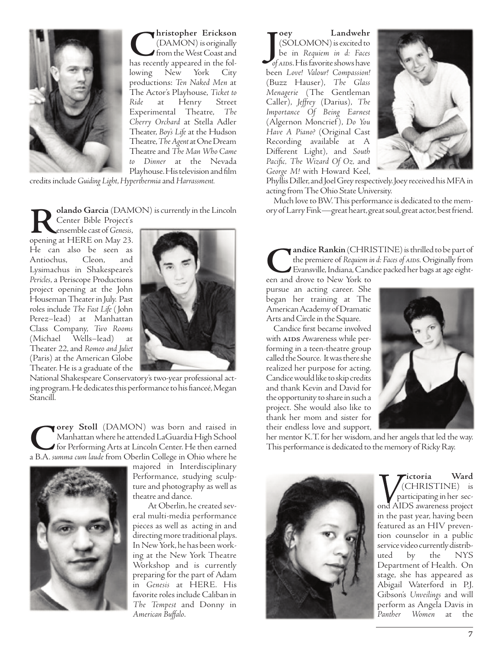

**C**hristopher Erickson<br>
(DAMON) is originally<br>
has recently appeared in the fol-(DAMON) is originally from the West Coast and lowing New York City productions: *Ten Naked Men* at The Actor's Playhouse, *Ticket to Ride* at Henry Street Experimental Theatre, *The Cherry Orchard* at Stella Adler Theater, *Boy's Life* at the Hudson Theatre, *The Agent*at One Dream Theatre and *The Man Who Came to Dinner* at the Nevada Playhouse. His television and film

credits include *Guiding Light*, *Hyperthermia*and *Harrassment.* 

**Rolando Garcia** (DAMON) is currently in the Lincoln

Center Bible Project's ensemble cast of *Genesis*, opening at HERE on May 23. He can also be seen as Antiochus, Cleon, and Lysimachus in Shakespeare's Pericles, a Periscope Productions project opening at the John Houseman Theater in July. Past roles include *The Fast Life* ( John Perez–lead) at Manhattan Class Company, *Two Rooms* Wells–lead) Theater 22, and *Romeo and Juliet* (Paris) at the American Globe Theater. He is a graduate of the



National Shakespeare Conservatory's two-year professional acting program. He dedicates this performance to his fianceé, Megan Stancill.

**Corey Stoll** (DAMON) was born and raised in Manhattan where he attended LaGuardia High School for Performing Arts at Lincoln Center. He then earned a B.A. *summa cum laude* from Oberlin College in Ohio where he Manhattan where he attended LaGuardia High School for Performing Arts at Lincoln Center. He then earned a B.A. *summa cum laude* from Oberlin College in Ohio where he



majored in Interdisciplinary Performance, studying sculpture and photography as well as theatre and dance.

At Oberlin, he created several multi-media performance pieces as well as acting in and directing more traditional plays. In New York, he has been working at the New York Theatre Workshop and is currently preparing for the part of Adam in *Genesis* at HERE. His favorite roles include Caliban in *The Tempest* and Donny in *American Buffalo*.

**J**<br> **J** (SOLOMON) is excited to<br>
be in Requiem in d: Faces<br>
of AIDS. His favorite shows have **oey Landwehr** (SOLOMON) is excited to be in *Requiem in d: Faces*  been *Love! Valour! Compassion!* (Buzz Hauser), *The Glass Menagerie* (The Gentleman Caller), *Jeffrey* (Darius), *The Importance Of Being Earnest* (Algernon Moncrief ), *Do You Have A Piano?* (Original Cast Recording available at A Different Light), and *South Pacific, The Wizard Of Oz,* and *George M!* with Howard Keel,



Phyllis Diller, and Joel Grey respectively. Joey received his MFA in acting from The Ohio State University.

Much love to BW. This performance is dedicated to the memory of Larry Fink—great heart, great soul, great actor, best friend.

**CANDINESTINE)** is thrilled to be part of the premiere of Requiem in d: Faces of AIDS. Originally from Evansville, Indiana, Candice packed her bags at age eighteen and drove to New York to andice Rankin (CHRISTINE) is thrilled to be part of the premiere of *Requiem in d: Faces of AIDS*. Originally from Evansville, Indiana, Candice packed her bags at age eight-

een and drove to New York to pursue an acting career. She began her training at The American Academy of Dramatic Arts and Circle in the Square.

Candice first became involved with AIDS Awareness while performing in a teen-theatre group called the Source. It was there she realized her purpose for acting. Candice would like to skip credits and thank Kevin and David for the opportunity to share in such a project. She would also like to thank her mom and sister for their endless love and support,



her mentor K.T. for her wisdom, and her angels that led the way. This performance is dedicated to the memory of Ricky Ray.



**ictoria Ward** (CHRISTINE) is participating in her second AIDS awareness project in the past year, having been featured as an HIV prevention counselor in a public service video currently distributed by the NYS uted Department of Health. On stage, she has appeared as Abigail Waterford in P.J. Gibson's *Unveilings* and will perform as Angela Davis in *Panther Women* at the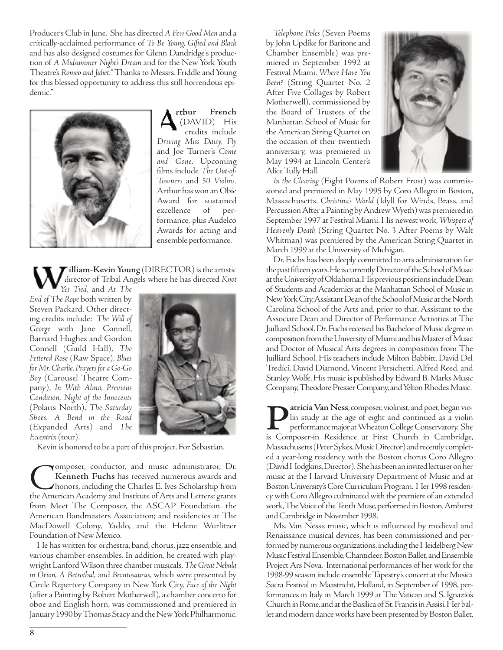Producer's Club in June. She has directed *A Few Good Men*and a critically-acclaimed performance of *To Be Young, Gifted and Black* and has also designed costumes for Glenn Dandridge's production of *A Midsummer Night's Dream* and for the New York Youth Theatre's *Romeo and Juliet*. "Thanks to Messrs. Friddle and Young for this blessed opportunity to address this still horrendous epidemic."



**rthur French** (DAVID) His credits include *Driving Miss Daisy, Fly* and Joe Turner's *Come and Gone*. Upcoming films include *The Out-of-Towners* and *50 Violins.* Arthur has won an Obie Award for sustained excellence of performance, plus Audelco Awards for acting and ensemble performance.

**illiam-Kevin Young** (DIRECTOR) is the artistic director of Tribal Angels where he has directed *Knot*

*Yet Tied*, and *At The End of The Rope* both written by Steven Packard. Other directing credits include: *The Will of George* with Jane Connell, Barnard Hughes and Gordon Connell (Guild Hall), *The Fettered Rose* (Raw Space), *Blues for Mr. Charlie, Prayers for a Go-Go* **Boy** (Carousel Theatre Company), *In With Alma, Previous Condition, Night of the Innocents* (Polaris North), *The Saturday Shoes, A Bend in the Road* (Expanded Arts) and *The Eccentrix*(tour).



Kevin is honored to be a part of this project. For Sebastian.

Composer, conductor, and music administrator, Dr.<br>Kenneth Fuchs has received numerous awards and<br>honors, including the Charles E. Ives Scholarship from<br>the American Academy and Institute of Arts and Letters; grants **Kenneth Fuchs** has received numerous awards and honors, including the Charles E. Ives Scholarship from the American Academy and Institute of Arts and Letters; grants from Meet The Composer, the ASCAP Foundation, the American Bandmasters Association; and residencies at The MacDowell Colony, Yaddo, and the Helene Wurlitzer Foundation of New Mexico.

He has written for orchestra, band, chorus, jazz ensemble, and various chamber ensembles. In addition, he created with playwright Lanford Wilson three chamber musicals, *The Great Nebula in Orion, A Betrothal*, and *Brontosaurus*, which were presented by Circle Repertory Company in New York City. *Face of the Night* (after a Painting by Robert Motherwell), a chamber concerto for oboe and English horn, was commissioned and premiered in January 1990 by Thomas Stacy and the New York Philharmonic.

*Telephone Poles* (Seven Poems by John Updike for Baritone and Chamber Ensemble) was premiered in September 1992 at Festival Miami. *Where Have You Been?* (String Quartet No. 2 After Five Collages by Robert Motherwell), commissioned by the Board of Trustees of the Manhattan School of Music for the American String Quartet on the occasion of their twentieth anniversary, was premiered in May 1994 at Lincoln Center's Alice Tully Hall.



*In the Clearing* (Eight Poems of Robert Frost) was commissioned and premiered in May 1995 by Coro Allegro in Boston, Massachusetts. *Christina's World* (Idyll for Winds, Brass, and Percussion After a Painting by Andrew Wyeth) was premiered in September 1997 at Festival Miami. His newest work, *Whispers of Heavenly Death* (String Quartet No. 3 After Poems by Walt Whitman) was premiered by the American String Quartet in March 1999 at the University of Michigan.

Dr. Fuchs has been deeply committed to arts administration for the past fifteen years. He is currently Director of the School of Music at the University of Oklahoma. His previous positions include Dean of Students and Academics at the Manhattan School of Music in New York City, Assistant Dean of the School of Music at the North Carolina School of the Arts and, prior to that, Assistant to the Associate Dean and Director of Performance Activities at The Juilliard School. Dr. Fuchs received his Bachelor of Music degree in composition from the University of Miami and his Master of Music and Doctor of Musical Arts degrees in composition from The Juilliard School. His teachers include Milton Babbitt, David Del Tredici, David Diamond, Vincent Persichetti, Alfred Reed, and Stanley Wolfe. His music is published by Edward B. Marks Music Company, Theodore Presser Company, and Yelton Rhodes Music.

**Patricia Van Ness**, composer, violinist, and poet, began vio-<br>
lin study at the age of eight and continued as a violin<br>
performance major at Wheaton College Conservatory. She<br>
is Composer-in Residence at First Church in C lin study at the age of eight and continued as a violin performance major at Wheaton College Conservatory. She Massachusetts (Peter Sykes, Music Director) and recently completed a year-long residency with the Boston chorus Coro Allegro (David Hodgkins, Director). She has been an invited lecturer on her music at the Harvard University Department of Music and at Boston University's Core Curriculum Program. Her 1998 residency with Coro Allegro culminated with the premiere of an extended work, The Voice of the Tenth Muse, performed in Boston, Amherst and Cambridge in November 1998.

Ms. Van Ness's music, which is influenced by medieval and Renaissance musical devices, has been commissioned and performed by numerous organizations, including the Heidelberg New Music Festival Ensemble, Chanticleer, Boston Ballet, and Ensemble Project Ars Nova. International performances of her work for the 1998-99 season include ensemble Tapestry's concert at the Musica Sacra Festival in Maastricht, Holland, in September of 1998, performances in Italy in March 1999 at The Vatican and S. Ignazio's Church in Rome, and at the Basilica of St. Francis in Assisi. Her ballet and modern dance works have been presented by Boston Ballet,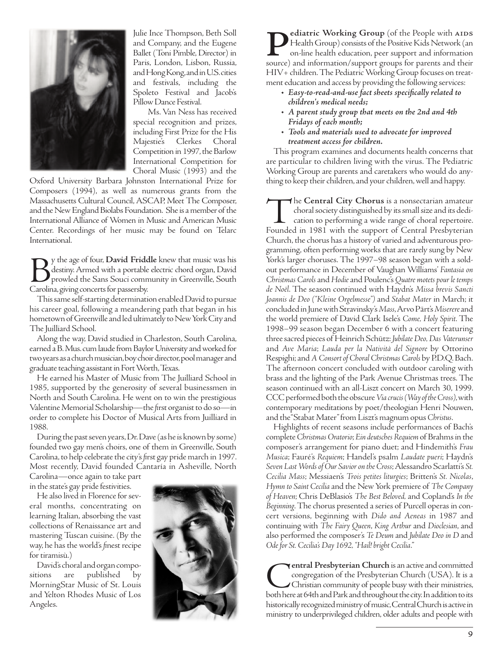

Julie Ince Thompson, Beth Soll and Company, and the Eugene Ballet (Toni Pimble, Director) in Paris, London, Lisbon, Russia, and Hong Kong, and in U.S. cities and festivals, including the Spoleto Festival and Jacob's Pillow Dance Festival.

Ms. Van Ness has received special recognition and prizes, including First Prize for the His Majestie's Clerkes Choral Competition in 1997, the Barlow International Competition for Choral Music (1993) and the

Oxford University Barbara Johnston International Prize for Composers (1994), as well as numerous grants from the Massachusetts Cultural Council, ASCAP, Meet The Composer, and the New England Biolabs Foundation. She is a member of the International Alliance of Women in Music and American Music Center. Recordings of her music may be found on Telarc International.

By the age of four, **David Friddle** knew that music was his destiny. Armed with a portable electric chord organ, David prowled the Sans Souci community in Greenville, South Carolina, giving concerts for passersby. y the age of four, **David Friddle** knew that music was his destiny. Armed with a portable electric chord organ, David prowled the Sans Souci community in Greenville, South Carolina, giving concerts for passersby.

This same self-starting determination enabled David to pursue his career goal, following a meandering path that began in his hometown of Greenville and led ultimately to New York City and The Juilliard School.

Along the way, David studied in Charleston, South Carolina, earned a B. Mus. cum laude from Baylor University and worked for two years as a church musician, boy choir director, pool manager and graduate teaching assistant in Fort Worth, Texas.

He earned his Master of Music from The Juilliard School in 1985, supported by the generosity of several businessmen in North and South Carolina. He went on to win the prestigious Valentine Memorial Scholarship—the first organist to do so—in order to complete his Doctor of Musical Arts from Juilliard in 1988.

During the past seven years, Dr. Dave (as he is known by some) founded two gay men's choirs, one of them in Greenville, South Carolina, to help celebrate the city's first gay pride march in 1997. Most recently, David founded Cantaría in Asheville, North

Carolina—once again to take part in the state's gay pride festivities.

He also lived in Florence for several months, concentrating on learning Italian, absorbing the vast collections of Renaissance art and mastering Tuscan cuisine. (By the way, he has the world's finest recipe for tiramisù.)

David's choral and organ compositions are published by MorningStar Music of St. Louis and Yelton Rhodes Music of Los Angeles.



**Pediatric Working Group** (of the People with AIDS<br>Health Group) consists of the Positive Kids Network (an<br>on-line health education, peer support and information<br>source) and information/support groups for parents and their Health Group) consists of the Positive Kids Network (an on-line health education, peer support and information HIV+ children. The Pediatric Working Group focuses on treatment education and access by providing the following services:

- **•** *Easy-to-read-and-use fact sheets specifically related to children's medical needs;*
- **•** *A parent study group that meets on the 2nd and 4th Fridays of each month;*
- **•** *Tools and materials used to advocate for improved treatment access for children.*

This program examines and documents health concerns that are particular to children living with the virus. The Pediatric Working Group are parents and caretakers who would do anything to keep their children, and your children, well and happy.

The **Central City Chorus** is a nonsectarian amateur choral society distinguished by its small size and its dedication to performing a wide range of choral repertoire.<br>Founded in 1981 with the support of Central Presbyteria choral society distinguished by its small size and its dedication to performing a wide range of choral repertoire. Church, the chorus has a history of varied and adventurous programming, often performing works that are rarely sung by New York's larger choruses. The 1997–98 season began with a soldout performance in December of Vaughan Williams' *Fantasia on Christmas Carols*and *Hodie*and Poulenc's *Quatre motets pour le temps de Noël*. The season continued with Haydn's *Missa brevis Sancti Joannis de Deo ("Kleine Orgelmesse")* and *Stabat Mater* in March; it concluded in June with Stravinsky's *Mass*, Arvo Pärt's *Miserere*and the world premiere of David Clark Isele's *Come, Holy Spirit*. The 1998–99 season began December 6 with a concert featuring three sacred pieces of Heinrich Schütz: *Jubilate Deo, Das Vaterunser* and *Ave Maria*; *Lauda per la Natività del Signore* by Ottorino Respighi; and *A Consort of Choral Christmas Carols* by P.D.Q. Bach. The afternoon concert concluded with outdoor caroling with brass and the lighting of the Park Avenue Christmas trees. The season continued with an all-Liszt concert on March 30, 1999. CCC performed both the obscure *Via crucis (Way of the Cross)*, with contemporary meditations by poet/theologian Henri Nouwen, and the "Stabat Mater" from Liszt's magnum opus *Christus*.

Highlights of recent seasons include performances of Bach's complete *Christmas Oratorio*; *Ein deutsches Requiem*of Brahms in the composer's arrangement for piano duet; and Hindemith's *Frau Musica*; Fauré's *Requiem*; Handel's psalm *Laudate pueri*; Haydn's *Seven Last Words of Our Savior on the Cross*; Alessandro Scarlatti's *St. Cecilia Mass*; Messiaen's *Trois petites liturgies*; Britten's *St. Nicolas*, *Hymn to Saint Cecilia*and the New York premiere of *The Company of Heaven*; Chris DeBlasio's *The Best Beloved,* and Copland's *In the Beginning*. The chorus presented a series of Purcell operas in concert versions, beginning with *Dido and Aeneas* in 1987 and continuing with *The Fairy Queen*, *King Arthur* and *Dioclesian*, and also performed the composer's *Te Deum* and *Jubilate Deo in D* and *Ode for St. Cecilia's Day 1692, "Hail! bright Cecilia*."

**Central Presbyterian Church** is an active and committed congregation of the Presbyterian Church (USA). It is a both here at 64th and Park and throughout the city. In addition to its congregation of the Presbyterian Church (USA). It is a Christian community of people busy with their ministries, historically recognized ministry of music, Central Church is active in ministry to underprivileged children, older adults and people with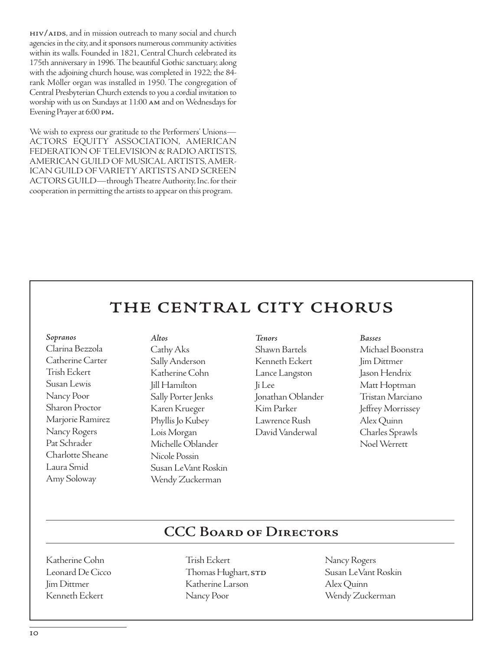hiv/aids, and in mission outreach to many social and church agencies in the city, and it sponsors numerous community activities within its walls. Founded in 1821, Central Church celebrated its 175th anniversary in 1996. The beautiful Gothic sanctuary, along with the adjoining church house, was completed in 1922; the 84 rank Möller organ was installed in 1950. The congregation of Central Presbyterian Church extends to you a cordial invitation to worship with us on Sundays at 11:00 am and on Wednesdays for Evening Prayer at 6:00 pm.

We wish to express our gratitude to the Performers' Unions— ACTORS EQUITY ASSOCIATION, AMERICAN FEDERATION OF TELEVISION & RADIO ARTISTS, AMERICAN GUILD OF MUSICAL ARTISTS, AMER-ICAN GUILD OF VARIETY ARTISTS AND SCREEN ACTORS GUILD—through Theatre Authority, Inc. for their cooperation in permitting the artists to appear on this program.

## the central city chorus

#### *Sopranos*

Clarina Bezzola Catherine Carter Trish Eckert Susan Lewis Nancy Poor Sharon Proctor Marjorie Ramirez Nancy Rogers Pat Schrader Charlotte Sheane Laura Smid Amy Soloway

*Altos* Cathy Aks Sally Anderson Katherine Cohn Jill Hamilton Sally Porter Jenks Karen Krueger Phyllis Jo Kubey Lois Morgan Michelle Oblander Nicole Possin Susan LeVant Roskin Wendy Zuckerman

#### *Tenors* Shawn Bartels Kenneth Eckert Lance Langston Ji Lee Jonathan Oblander Kim Parker Lawrence Rush David Vanderwal

#### *Basses*

Michael Boonstra Jim Dittmer Jason Hendrix Matt Hoptman Tristan Marciano Jeffrey Morrissey Alex Quinn Charles Sprawls Noel Werrett

### **CCC Board of Directors**

Katherine Cohn Leonard De Cicco Jim Dittmer Kenneth Eckert

Trish Eckert Thomas Hughart, STD Katherine Larson Nancy Poor

Nancy Rogers Susan LeVant Roskin Alex Quinn Wendy Zuckerman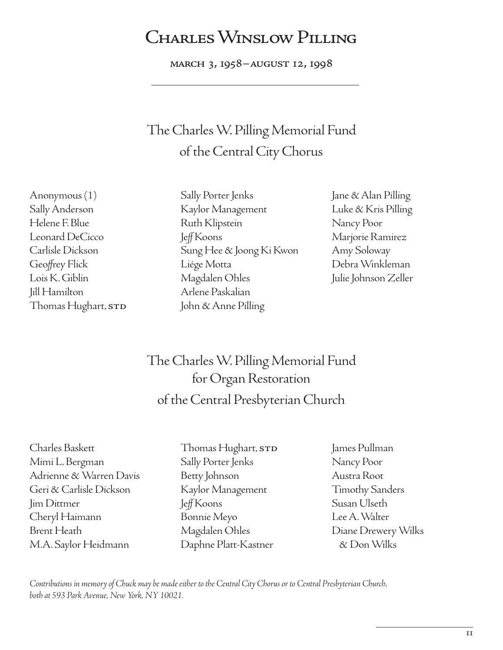## CHARLES WINSLOW PILLING

march 3, 1958–august 12, 1998

## The Charles W. Pilling Memorial Fund of the Central City Chorus

Anonymous (1) Sally Anderson Helene F. Blue Leonard DeCicco Carlisle Dickson Geoffrey Flick Lois K. Giblin Jill Hamilton Thomas Hughart,  $\operatorname{srb}$ 

- Sally Porter Jenks Kaylor Management Ruth Klipstein JeffKoons Sung Hee & Joong Ki Kwon Liége Motta Magdalen Ohles Arlene Paskalian John & Anne Pilling
- Jane & Alan Pilling Luke & Kris Pilling Nancy Poor Marjorie Ramirez Amy Soloway Debra Winkleman Julie Johnson Zeller

## The Charles W. Pilling Memorial Fund for Organ Restoration of the Central Presbyterian Church

- Charles Baskett Mimi L. Bergman Adrienne & Warren Davis Geri & Carlisle Dickson Jim Dittmer Cheryl Haimann Brent Heath M.A. Saylor Heidmann
- Thomas Hughart,  $\mathop{\bf s}\nolimits$ r $\mathop{\bf p}\nolimits$ Sally Porter Jenks Betty Johnson Kaylor Management JeffKoons Bonnie Meyo Magdalen Ohles Daphne Platt-Kastner
- James Pullman Nancy Poor Austra Root Timothy Sanders Susan Ulseth Lee A. Walter Diane Drewery Wilks & Don Wilks

*Contributions in memory of Chuck may be made either to the Central City Chorus or to Central Presbyterian Church, both at 593 Park Avenue, New York, NY 10021.*